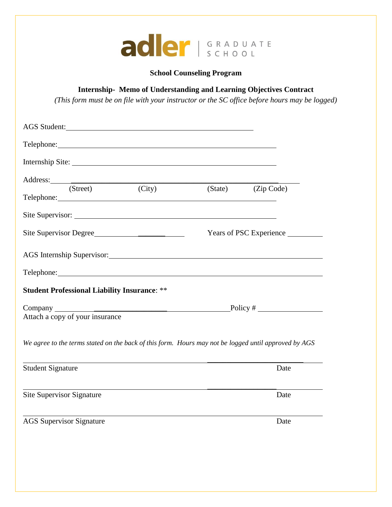

## **School Counseling Program**

# **Internship- Memo of Understanding and Learning Objectives Contract**

*(This form must be on file with your instructor or the SC office before hours may be logged)*

| AGS Student:                                                                                                                                                                                                                   |                    |                         |  |
|--------------------------------------------------------------------------------------------------------------------------------------------------------------------------------------------------------------------------------|--------------------|-------------------------|--|
| Telephone: The contract of the contract of the contract of the contract of the contract of the contract of the contract of the contract of the contract of the contract of the contract of the contract of the contract of the |                    |                         |  |
| Internship Site:                                                                                                                                                                                                               |                    |                         |  |
|                                                                                                                                                                                                                                |                    |                         |  |
| (Street) (City)                                                                                                                                                                                                                | (State) (Zip Code) |                         |  |
|                                                                                                                                                                                                                                |                    |                         |  |
| Site Supervisor Degree                                                                                                                                                                                                         |                    | Years of PSC Experience |  |
| AGS Internship Supervisor: Manual AGS Internship Supervisor:                                                                                                                                                                   |                    |                         |  |
| Telephone: New York Contract the Contract of the Contract of the Contract of the Contract of the Contract of the Contract of the Contract of the Contract of the Contract of the Contract of the Contract of the Contract of t |                    |                         |  |
| <b>Student Professional Liability Insurance: **</b>                                                                                                                                                                            |                    |                         |  |
|                                                                                                                                                                                                                                |                    |                         |  |
| Attach a copy of your insurance                                                                                                                                                                                                |                    |                         |  |
| We agree to the terms stated on the back of this form. Hours may not be logged until approved by AGS                                                                                                                           |                    |                         |  |
| <b>Student Signature</b>                                                                                                                                                                                                       |                    | Date                    |  |
| Site Supervisor Signature                                                                                                                                                                                                      |                    | Date                    |  |
| <b>AGS</b> Supervisor Signature                                                                                                                                                                                                |                    | Date                    |  |
|                                                                                                                                                                                                                                |                    |                         |  |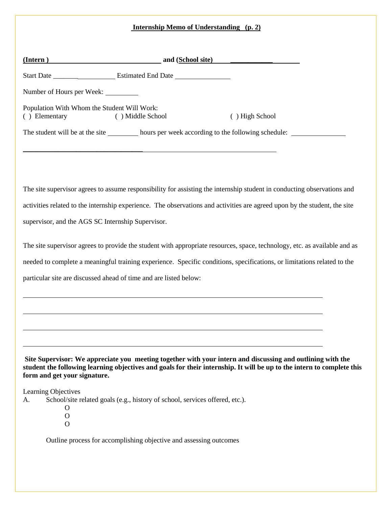|                           | <b>Internship Memo of Understanding (p. 2)</b>                                                                                                                                                                                                                       |  |
|---------------------------|----------------------------------------------------------------------------------------------------------------------------------------------------------------------------------------------------------------------------------------------------------------------|--|
|                           | <u>(Intern)</u> and (School site)                                                                                                                                                                                                                                    |  |
|                           |                                                                                                                                                                                                                                                                      |  |
|                           | Number of Hours per Week:                                                                                                                                                                                                                                            |  |
| ( ) Elementary            | Population With Whom the Student Will Work:<br>() High School<br>() Middle School                                                                                                                                                                                    |  |
|                           | The student will be at the site __________ hours per week according to the following schedule: _______________                                                                                                                                                       |  |
|                           |                                                                                                                                                                                                                                                                      |  |
|                           |                                                                                                                                                                                                                                                                      |  |
|                           | The site supervisor agrees to assume responsibility for assisting the internship student in conducting observations and                                                                                                                                              |  |
|                           | activities related to the internship experience. The observations and activities are agreed upon by the student, the site                                                                                                                                            |  |
|                           | supervisor, and the AGS SC Internship Supervisor.                                                                                                                                                                                                                    |  |
|                           | The site supervisor agrees to provide the student with appropriate resources, space, technology, etc. as available and as                                                                                                                                            |  |
|                           | needed to complete a meaningful training experience. Specific conditions, specifications, or limitations related to the                                                                                                                                              |  |
|                           | particular site are discussed ahead of time and are listed below:                                                                                                                                                                                                    |  |
|                           |                                                                                                                                                                                                                                                                      |  |
|                           |                                                                                                                                                                                                                                                                      |  |
|                           |                                                                                                                                                                                                                                                                      |  |
|                           |                                                                                                                                                                                                                                                                      |  |
|                           | Site Supervisor: We appreciate you meeting together with your intern and discussing and outlining with the<br>student the following learning objectives and goals for their internship. It will be up to the intern to complete this<br>form and get your signature. |  |
| Learning Objectives<br>А. | School/site related goals (e.g., history of school, services offered, etc.).<br>O<br>$\mathbf O$<br>O                                                                                                                                                                |  |

Outline process for accomplishing objective and assessing outcomes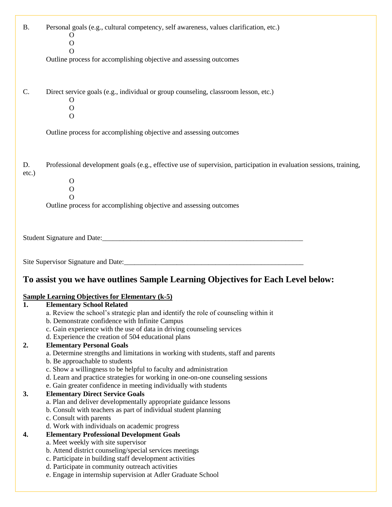| <b>B.</b>   | Personal goals (e.g., cultural competency, self awareness, values clarification, etc.)<br>$\Omega$<br>$\mathbf O$                                                                                                                     |
|-------------|---------------------------------------------------------------------------------------------------------------------------------------------------------------------------------------------------------------------------------------|
|             | O<br>Outline process for accomplishing objective and assessing outcomes                                                                                                                                                               |
| C.          | Direct service goals (e.g., individual or group counseling, classroom lesson, etc.)<br>O<br>$\mathbf{O}$<br>$\mathbf{O}$                                                                                                              |
|             | Outline process for accomplishing objective and assessing outcomes                                                                                                                                                                    |
| D.<br>etc.) | Professional development goals (e.g., effective use of supervision, participation in evaluation sessions, training,<br>$\mathbf{O}$<br>$\mathbf{O}$<br>$\Omega$<br>Outline process for accomplishing objective and assessing outcomes |
|             |                                                                                                                                                                                                                                       |
|             |                                                                                                                                                                                                                                       |
|             |                                                                                                                                                                                                                                       |
|             | To assist you we have outlines Sample Learning Objectives for Each Level below:                                                                                                                                                       |
|             | <b>Sample Learning Objectives for Elementary (k-5)</b>                                                                                                                                                                                |
| 1.          | <b>Elementary School Related</b><br>a. Review the school's strategic plan and identify the role of counseling within it                                                                                                               |
|             | b. Demonstrate confidence with Infinite Campus<br>c. Gain experience with the use of data in driving counseling services                                                                                                              |
| 2.          | d. Experience the creation of 504 educational plans<br><b>Elementary Personal Goals</b>                                                                                                                                               |
|             | a. Determine strengths and limitations in working with students, staff and parents                                                                                                                                                    |
|             | b. Be approachable to students<br>c. Show a willingness to be helpful to faculty and administration                                                                                                                                   |
|             | d. Learn and practice strategies for working in one-on-one counseling sessions                                                                                                                                                        |
| 3.          | e. Gain greater confidence in meeting individually with students<br><b>Elementary Direct Service Goals</b>                                                                                                                            |
|             | a. Plan and deliver developmentally appropriate guidance lessons<br>b. Consult with teachers as part of individual student planning                                                                                                   |
|             | c. Consult with parents                                                                                                                                                                                                               |
| 4.          | d. Work with individuals on academic progress<br><b>Elementary Professional Development Goals</b>                                                                                                                                     |
|             | a. Meet weekly with site supervisor                                                                                                                                                                                                   |
|             | b. Attend district counseling/special services meetings<br>c. Participate in building staff development activities                                                                                                                    |
|             | d. Participate in community outreach activities<br>e. Engage in internship supervision at Adler Graduate School                                                                                                                       |